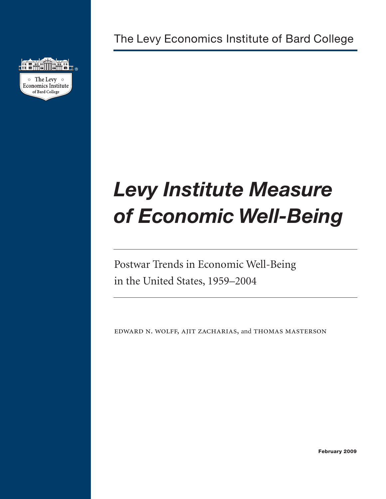

The Levy Economics Institute of Bard College

# *Levy Institute Measure of Economic Well-Being*

Postwar Trends in Economic Well-Being in the United States, 1959–2004

EDWARD N. WOLFF, AJIT ZACHARIAS, and THOMAS MASTERSON

**February 2009**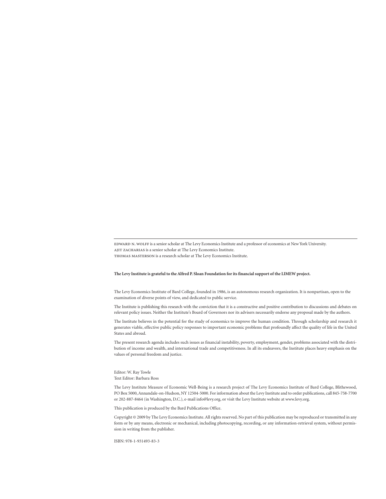EDWARD N. WOLFF is a senior scholar at The Levy Economics Institute and a professor of economics at New York University. ajit zacharias is a senior scholar at The Levy Economics Institute. thomas masterson is a research scholar at The Levy Economics Institute.

#### **The Levy Institute is grateful to the Alfred P. Sloan Foundation for its financial support of the LIMEW project.**

The Levy Economics Institute of Bard College, founded in 1986, is an autonomous research organization. It is nonpartisan, open to the examination of diverse points of view, and dedicated to public service.

The Institute is publishing this research with the conviction that it is a constructive and positive contribution to discussions and debates on relevant policy issues. Neither the Institute's Board of Governors nor its advisers necessarily endorse any proposal made by the authors.

The Institute believes in the potential for the study of economics to improve the human condition. Through scholarship and research it generates viable, effective public policy responses to important economic problems that profoundly affect the quality of life in the United States and abroad.

The present research agenda includes such issues as financial instability, poverty, employment, gender, problems associated with the distribution of income and wealth, and international trade and competitiveness. In all its endeavors, the Institute places heavy emphasis on the values of personal freedom and justice.

#### Editor: W. Ray Towle Text Editor: Barbara Ross

The Levy Institute Measure of Economic Well-Being is a research project of The Levy Economics Institute of Bard College, Blithewood, PO Box 5000, Annandale-on-Hudson, NY 12504-5000. For information about the Levy Institute and to order publications, call 845-758-7700 or 202-887-8464 (in Washington, D.C.), e-mail info@levy.org, or visit the Levy Institute website at www.levy.org.

This publication is produced by the Bard Publications Office.

Copyright © 2009 by The Levy Economics Institute. All rights reserved. No part of this publication may be reproduced or transmitted in any form or by any means, electronic or mechanical, including photocopying, recording, or any information-retrieval system, without permission in writing from the publisher.

ISBN: 978-1-931493-83-3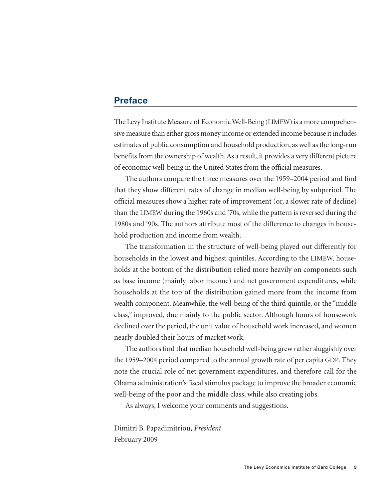# **Preface**

The Levy Institute Measure of Economic Well-Being (LIMEW) is a more comprehensive measure than either gross money income or extended income because it includes estimates of public consumption and household production, as well as the long-run benefits from the ownership of wealth. As a result, it provides a very different picture of economic well-being in the United States from the official measures.

The authors compare the three measures over the 1959–2004 period and find that they show different rates of change in median well-being by subperiod. The official measures show a higher rate of improvement (or, a slower rate of decline) than the LIMEW during the 1960s and '70s, while the pattern is reversed during the 1980s and '90s. The authors attribute most of the difference to changes in household production and income from wealth.

The transformation in the structure of well-being played out differently for households in the lowest and highest quintiles. According to the LIMEW, households at the bottom of the distribution relied more heavily on components such as base income (mainly labor income) and net government expenditures, while households at the top of the distribution gained more from the income from wealth component. Meanwhile, the well-being of the third quintile, or the "middle class," improved, due mainly to the public sector. Although hours of housework declined over the period, the unit value of household work increased, and women nearly doubled their hours of market work.

The authors find that median household well-being grew rather sluggishly over the 1959–2004 period compared to the annual growth rate of per capita GDP. They note the crucial role of net government expenditures, and therefore call for the Obama administration's fiscal stimulus package to improve the broader economic well-being of the poor and the middle class, while also creating jobs.

As always, I welcome your comments and suggestions.

Dimitri B. Papadimitriou, *President* February 2009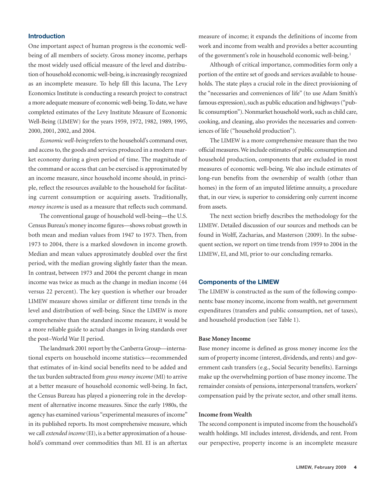## **Introduction**

One important aspect of human progress is the economic wellbeing of all members of society. Gross money income, perhaps the most widely used official measure of the level and distribution of household economic well-being, is increasingly recognized as an incomplete measure. To help fill this lacuna, The Levy Economics Institute is conducting a research project to construct a more adequate measure of economic well-being. To date, we have completed estimates of the Levy Institute Measure of Economic Well-Being (LIMEW) for the years 1959, 1972, 1982, 1989, 1995, 2000, 2001, 2002, and 2004.

*Economic well-being* refers to the household's command over, and access to, the goods and services produced in a modern market economy during a given period of time. The magnitude of the command or access that can be exercised is approximated by an income measure, since household income should, in principle, reflect the resources available to the household for facilitating current consumption or acquiring assets. Traditionally, *money income* is used as a measure that reflects such command.

The conventional gauge of household well-being—the U.S. Census Bureau's money income figures—shows robust growth in both mean and median values from 1947 to 1973. Then, from 1973 to 2004, there is a marked slowdown in income growth. Median and mean values approximately doubled over the first period, with the median growing slightly faster than the mean. In contrast, between 1973 and 2004 the percent change in mean income was twice as much as the change in median income (44 versus 22 percent). The key question is whether our broader LIMEW measure shows similar or different time trends in the level and distribution of well-being. Since the LIMEW is more comprehensive than the standard income measure, it would be a more reliable guide to actual changes in living standards over the post–World War II period.

The landmark 2001 report by the Canberra Group—international experts on household income statistics—recommended that estimates of in-kind social benefits need to be added and the tax burden subtracted from *gross money income*(MI) to arrive at a better measure of household economic well-being. In fact, the Census Bureau has played a pioneering role in the development of alternative income measures. Since the early 1980s, the agency has examined various "experimental measures of income" in its published reports. Its most comprehensive measure, which we call *extended income*(EI), is a better approximation of a household's command over commodities than MI. EI is an aftertax measure of income; it expands the definitions of income from work and income from wealth and provides a better accounting of the government's role in household economic well-being.1

Although of critical importance, commodities form only a portion of the entire set of goods and services available to households. The state plays a crucial role in the direct provisioning of the "necessaries and conveniences of life" (to use Adam Smith's famous expression), such as public education and highways ("public consumption"). Nonmarket household work, such as child care, cooking, and cleaning, also provides the necessaries and conveniences of life ("household production").

The LIMEW is a more comprehensive measure than the two official measures. We include estimates of public consumption and household production, components that are excluded in most measures of economic well-being. We also include estimates of long-run benefits from the ownership of wealth (other than homes) in the form of an imputed lifetime annuity, a procedure that, in our view, is superior to considering only current income from assets.

The next section briefly describes the methodology for the LIMEW. Detailed discussion of our sources and methods can be found in Wolff, Zacharias, and Masterson (2009). In the subsequent section, we report on time trends from 1959 to 2004 in the LIMEW, EI, and MI, prior to our concluding remarks.

## **Components of the LIMEW**

The LIMEW is constructed as the sum of the following components: base money income, income from wealth, net government expenditures (transfers and public consumption, net of taxes), and household production (see Table 1).

#### **Base Money Income**

Base money income is defined as gross money income *less* the sum of property income (interest, dividends, and rents) and government cash transfers (e.g., Social Security benefits). Earnings make up the overwhelming portion of base money income. The remainder consists of pensions, interpersonal transfers, workers' compensation paid by the private sector, and other small items.

#### **Income from Wealth**

The second component is imputed income from the household's wealth holdings. MI includes interest, dividends, and rent. From our perspective, property income is an incomplete measure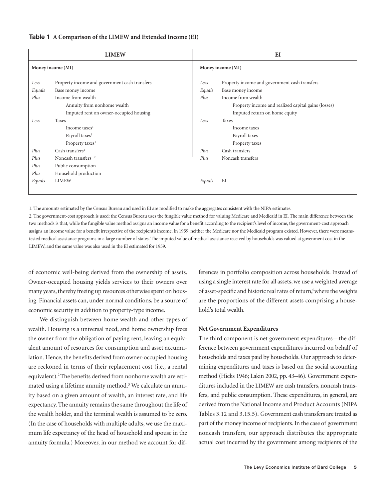#### **Table 1 A Comparison of the LIMEW and Extended Income (EI)**

|                                        | <b>LIMEW</b>                                                                                                                                                      | E                      |                                                                                                                                                                                  |  |  |  |
|----------------------------------------|-------------------------------------------------------------------------------------------------------------------------------------------------------------------|------------------------|----------------------------------------------------------------------------------------------------------------------------------------------------------------------------------|--|--|--|
|                                        | Money income (MI)                                                                                                                                                 | Money income (MI)      |                                                                                                                                                                                  |  |  |  |
| Less<br>Equals<br>Plus                 | Property income and government cash transfers<br>Base money income<br>Income from wealth<br>Annuity from nonhome wealth<br>Imputed rent on owner-occupied housing | Less<br>Equals<br>Plus | Property income and government cash transfers<br>Base money income<br>Income from wealth<br>Property income and realized capital gains (losses)<br>Imputed return on home equity |  |  |  |
| Less                                   | Taxes<br>Income taxes <sup>1</sup><br>Payroll taxes <sup>1</sup><br>Property taxes <sup>1</sup>                                                                   | Less                   | <b>Taxes</b><br>Income taxes<br>Payroll taxes<br>Property taxes                                                                                                                  |  |  |  |
| Plus<br>Plus<br>Plus<br>Plus<br>Equals | Cash transfers <sup>1</sup><br>Noncash transfers <sup>1,2</sup><br>Public consumption<br>Household production<br><b>LIMEW</b>                                     | Plus<br>Plus<br>Equals | Cash transfers<br>Noncash transfers<br>ΕI                                                                                                                                        |  |  |  |

1. The amounts estimated by the Census Bureau and used in EI are modified to make the aggregates consistent with the NIPA estimates.

2. The government-cost approach is used: the Census Bureau uses the fungible value method for valuing Medicare and Medicaid in EI. The main difference between the two methods is that, while the fungible value method assigns an income value for a benefit according to the recipient's level of income, the government-cost approach assigns an income value for a benefit irrespective of the recipient's income. In 1959, neither the Medicare nor the Medicaid program existed. However, there were meanstested medical assistance programs in a large number of states. The imputed value of medical assistance received by households was valued at govenment cost in the LIMEW, and the same value was also used in the EI estimated for 1959.

of economic well-being derived from the ownership of assets. Owner-occupied housing yields services to their owners over many years, thereby freeing up resources otherwise spent on housing. Financial assets can, under normal conditions, be a source of economic security in addition to property-type income.

We distinguish between home wealth and other types of wealth. Housing is a universal need, and home ownership frees the owner from the obligation of paying rent, leaving an equivalent amount of resources for consumption and asset accumulation. Hence, the benefits derived from owner-occupied housing are reckoned in terms of their replacement cost (i.e., a rental equivalent).2 The benefits derived from nonhome wealth are estimated using a lifetime annuity method.<sup>3</sup> We calculate an annuity based on a given amount of wealth, an interest rate, and life expectancy. The annuity remains the same throughout the life of the wealth holder, and the terminal wealth is assumed to be zero. (In the case of households with multiple adults, we use the maximum life expectancy of the head of household and spouse in the annuity formula.) Moreover, in our method we account for differences in portfolio composition across households. Instead of using a single interest rate for all assets, we use a weighted average of asset-specific and historic real rates of return,<sup>4</sup> where the weights are the proportions of the different assets comprising a household's total wealth.

## **Net Government Expenditures**

The third component is net government expenditures—the difference between government expenditures incurred on behalf of households and taxes paid by households. Our approach to determining expenditures and taxes is based on the social accounting method (Hicks 1946; Lakin 2002, pp. 43–46). Government expenditures included in the LIMEW are cash transfers, noncash transfers, and public consumption. These expenditures, in general, are derived from the National Income and Product Accounts (NIPA Tables 3.12 and 3.15.5). Government cash transfers are treated as part of the money income of recipients. In the case of government noncash transfers, our approach distributes the appropriate actual cost incurred by the government among recipients of the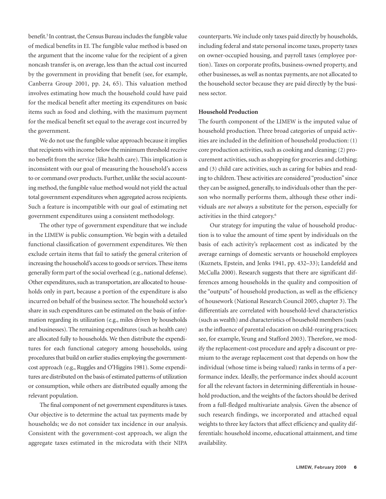benefit.<sup>5</sup> In contrast, the Census Bureau includes the fungible value of medical benefits in EI. The fungible value method is based on the argument that the income value for the recipient of a given noncash transfer is, on average, less than the actual cost incurred by the government in providing that benefit (see, for example, Canberra Group 2001, pp. 24, 65). This valuation method involves estimating how much the household could have paid for the medical benefit after meeting its expenditures on basic items such as food and clothing, with the maximum payment for the medical benefit set equal to the average cost incurred by the government.

We do not use the fungible value approach because it implies that recipients with income below the minimum threshold receive no benefit from the service (like health care). This implication is inconsistent with our goal of measuring the household's access to or command over products. Further, unlike the social accounting method, the fungible value method would not yield the actual total government expenditures when aggregated across recipients. Such a feature is incompatible with our goal of estimating net government expenditures using a consistent methodology.

The other type of government expenditure that we include in the LIMEW is public consumption. We begin with a detailed functional classification of government expenditures. We then exclude certain items that fail to satisfy the general criterion of increasing the household's access to goods or services. These items generally form part of the social overhead (e.g., national defense). Other expenditures, such as transportation, are allocated to households only in part, because a portion of the expenditure is also incurred on behalf of the business sector. The household sector's share in such expenditures can be estimated on the basis of information regarding its utilization (e.g., miles driven by households and businesses). The remaining expenditures (such as health care) are allocated fully to households. We then distribute the expenditures for each functional category among households, using procedures that build on earlier studies employing the governmentcost approach (e.g., Ruggles and O'Higgins 1981). Some expenditures are distributed on the basis of estimated patterns of utilization or consumption, while others are distributed equally among the relevant population.

The final component of net government expenditures is taxes. Our objective is to determine the actual tax payments made by households; we do not consider tax incidence in our analysis. Consistent with the government-cost approach, we align the aggregate taxes estimated in the microdata with their NIPA

counterparts. We include only taxes paid directly by households, including federal and state personal income taxes, property taxes on owner-occupied housing, and payroll taxes (employee portion). Taxes on corporate profits, business-owned property, and other businesses, as well as nontax payments, are not allocated to the household sector because they are paid directly by the business sector.

## **Household Production**

The fourth component of the LIMEW is the imputed value of household production. Three broad categories of unpaid activities are included in the definition of household production: (1) core production activities, such as cooking and cleaning; (2) procurement activities, such as shopping for groceries and clothing; and (3) child care activities, such as caring for babies and reading to children. These activities are considered "production" since they can be assigned, generally, to individuals other than the person who normally performs them, although these other individuals are *not* always a substitute for the person, especially for activities in the third category.6

Our strategy for imputing the value of household production is to value the amount of time spent by individuals on the basis of each activity's replacement cost as indicated by the average earnings of domestic servants or household employees (Kuznets, Epstein, and Jenks 1941, pp. 432–33); Landefeld and McCulla 2000). Research suggests that there are significant differences among households in the quality and composition of the "outputs" of household production, as well as the efficiency of housework (National Research Council 2005, chapter 3). The differentials are correlated with household-level characteristics (such as wealth) and characteristics of household members (such as the influence of parental education on child-rearing practices; see, for example, Yeung and Stafford 2003). Therefore, we modify the replacement-cost procedure and apply a discount or premium to the average replacement cost that depends on how the individual (whose time is being valued) ranks in terms of a performance index. Ideally, the performance index should account for all the relevant factors in determining differentials in household production, and the weights of the factors should be derived from a full-fledged multivariate analysis. Given the absence of such research findings, we incorporated and attached equal weights to three key factors that affect efficiency and quality differentials: household income, educational attainment, and time availability.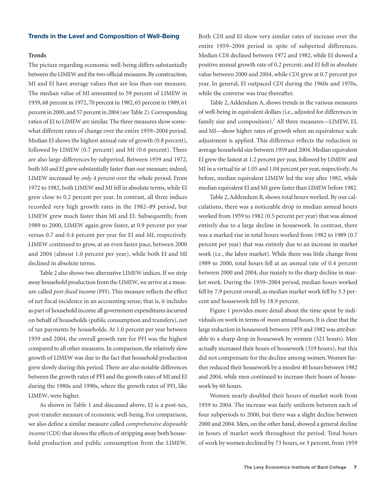#### **Trends in the Level and Composition of Well-Being**

## **Trends**

The picture regarding economic well-being differs substantially between the LIMEW and the two official measures. By construction, MI and EI have average values that are less than our measure. The median value of MI amounted to 59 percent of LIMEW in 1959, 68 percent in 1972, 70 percent in 1982, 65 percent in 1989, 61 percent in 2000, and 57 percent in 2004 (see Table 2). Corresponding ratios of EI to LIMEW are similar. The three measures show somewhat different rates of change over the entire 1959–2004 period. Median EI shows the highest annual rate of growth (0.8 percent), followed by LIMEW (0.7 percent) and MI (0.6 percent). There are also large differences by subperiod. Between 1959 and 1972, both MI and EI grew substantially faster than our measure; indeed, LIMEW increased by *only 4 percent* over the whole period. From 1972 to 1982, both LIMEW and MI fell in absolute terms, while EI grew close to 0.2 percent per year. In contrast, all three indices recorded very high growth rates in the 1982–89 period, but LIMEW grew much faster than MI and EI. Subsequently, from 1989 to 2000, LIMEW again grew faster, at 0.9 percent per year versus 0.7 and 0.4 percent per year for EI and MI, respectively. LIMEW continued to grow, at an even faster pace, between 2000 and 2004 (almost 1.0 percent per year), while both EI and MI declined in absolute terms.

Table 2 also shows two alternative LIMEW indices. If we strip away household production from the LIMEW, we arrive at a measure called *post-fiscal income* (PFI). This measure reflects the effect of net fiscal incidence in an accounting sense; that is, it includes as part of household income all government expenditures incurred on behalf of households (public consumption and transfers), net of tax payments by households. At 1.0 percent per year between 1959 and 2004, the overall growth rate for PFI was the highest compared to all other measures. In comparison, the relatively slow growth of LIMEW was due to the fact that household production grew slowly during this period. There are also notable differences between the growth rates of PFI and the growth rates of MI and EI during the 1980s and 1990s, where the growth rates of PFI, like LIMEW, were higher.

As shown in Table 1 and discussed above, EI is a post-tax, post-transfer measure of economic well-being. For comparison, we also define a similar measure called *comprehensive disposable* income (CDI) that shows the effects of stripping away both household production and public consumption from the LIMEW. Both CDI and EI show very similar rates of increase over the entire 1959–2004 period in spite of subperiod differences. Median CDI declined between 1972 and 1982, while EI showed a positive annual growth rate of 0.2 percent, and EI fell in absolute value between 2000 and 2004, while CDI grew at 0.7 percent per year. In general, EI outpaced CDI during the 1960s and 1970s, while the converse was true thereafter.

Table 2, Addendum A, shows trends in the various measures of well-being in equivalent dollars (i.e., adjusted for differences in family size and composition).7 All three measures—LIMEW, EI, and MI—show higher rates of growth when an equivalence scale adjustment is applied. This difference reflects the reduction in average household size between 1959 and 2004. Median equivalent EI grew the fastest at 1.2 percent per year, followed by LIMEW and MI in a virtual tie at 1.05 and 1.04 percent per year, respectively. As before, median equivalent LIMEW led the way after 1982, while median equivalent EI and MI grew faster than LIMEW before 1982.

Table 2, Addendum B, shows total hours worked. By our calculations, there was a noticeable drop in median annual hours worked from 1959 to 1982 (0.5 percent per year) that was almost entirely due to a large decline in housework. In contrast, there was a marked rise in total hours worked from 1982 to 1989 (0.7 percent per year) that was entirely due to an increase in market work (i.e., the labor market). While there was little change from 1989 to 2000, total hours fell at an annual rate of 0.4 percent between 2000 and 2004, due mainly to the sharp decline in market work. During the 1959–2004 period, median hours worked fell by 7.9 percent overall, as median market work fell by 3.3 percent and housework fell by 18.9 percent.

Figure 1 provides more detail about the time spent by individuals on work in terms of *mean* annual hours. It is clear that the large reduction in housework between 1959 and 1982 was attributable to a sharp drop in housework by women (521 hours). Men actually increased their hours of housework (319 hours), but this did not compensate for the decline among women. Women further reduced their housework by a modest 40 hours between 1982 and 2004, while men continued to increase their hours of housework by 60 hours.

Women nearly doubled their hours of market work from 1959 to 2004. The increase was fairly uniform between each of four subperiods to 2000, but there was a slight decline between 2000 and 2004. Men, on the other hand, showed a general decline in hours of market work throughout the period. Total hours of work by women declined by 73 hours, or 3 percent, from 1959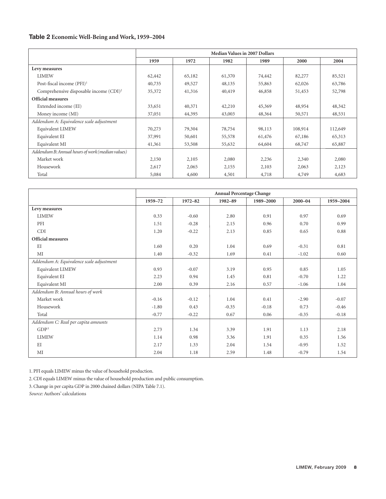## **Table 2 Economic Well-Being and Work, 1959–2004**

|                                                    | <b>Median Values in 2007 Dollars</b> |        |        |        |         |         |  |  |  |  |
|----------------------------------------------------|--------------------------------------|--------|--------|--------|---------|---------|--|--|--|--|
|                                                    | 1959                                 | 1972   | 1982   | 1989   | 2000    | 2004    |  |  |  |  |
| Levy measures                                      |                                      |        |        |        |         |         |  |  |  |  |
| <b>LIMEW</b>                                       | 62,442                               | 65,182 | 61,370 | 74,442 | 82,277  | 85,521  |  |  |  |  |
| Post-fiscal income (PFI) <sup>1</sup>              | 40,735                               | 49,527 | 48,135 | 55,863 | 62,026  | 63,786  |  |  |  |  |
| Comprehensive disposable income (CDI) <sup>2</sup> | 35,372                               | 41,316 | 40,419 | 46,858 | 51,453  | 52,798  |  |  |  |  |
| <b>Official measures</b>                           |                                      |        |        |        |         |         |  |  |  |  |
| Extended income (EI)                               | 33,651                               | 40,371 | 42,210 | 45,369 | 48,954  | 48,342  |  |  |  |  |
| Money income (MI)                                  | 37,051                               | 44,395 | 43,003 | 48,364 | 50,571  | 48,531  |  |  |  |  |
| Addendum A: Equivalence scale adjustment           |                                      |        |        |        |         |         |  |  |  |  |
| Equivalent LIMEW                                   | 70,273                               | 79,304 | 78,754 | 98,113 | 108,914 | 112,649 |  |  |  |  |
| Equivalent EI                                      | 37,991                               | 50,601 | 55,578 | 61,476 | 67,186  | 65,313  |  |  |  |  |
| Equivalent MI                                      | 41,361                               | 53,508 | 55,632 | 64,604 | 68,747  | 65,887  |  |  |  |  |
| Addendum B: Annual hours of work (median values)   |                                      |        |        |        |         |         |  |  |  |  |
| Market work                                        | 2,150                                | 2,105  | 2,080  | 2,236  | 2,340   | 2,080   |  |  |  |  |
| Housework                                          | 2,617                                | 2,065  | 2,155  | 2,103  | 2,063   | 2,123   |  |  |  |  |
| Total                                              | 5,084                                | 4,600  | 4,501  | 4,718  | 4,749   | 4,683   |  |  |  |  |

|                                          | <b>Annual Percentage Change</b> |         |         |           |             |           |  |  |  |  |
|------------------------------------------|---------------------------------|---------|---------|-----------|-------------|-----------|--|--|--|--|
|                                          | 1959-72                         | 1972-82 | 1982-89 | 1989-2000 | $2000 - 04$ | 1959-2004 |  |  |  |  |
| Levy measures                            |                                 |         |         |           |             |           |  |  |  |  |
| <b>LIMEW</b>                             | 0.33                            | $-0.60$ | 2.80    | 0.91      | 0.97        | 0.69      |  |  |  |  |
| PFI                                      | 1.51                            | $-0.28$ | 2.15    | 0.96      | 0.70        | 0.99      |  |  |  |  |
| <b>CDI</b>                               | 1.20                            | $-0.22$ | 2.13    | 0.85      | 0.65        | 0.88      |  |  |  |  |
| Official measures                        |                                 |         |         |           |             |           |  |  |  |  |
| EI                                       | 1.60                            | 0.20    | 1.04    | 0.69      | $-0.31$     | 0.81      |  |  |  |  |
| MI                                       | 1.40                            | $-0.32$ | 1.69    | 0.41      | $-1.02$     | 0.60      |  |  |  |  |
| Addendum A: Equivalence scale adjustment |                                 |         |         |           |             |           |  |  |  |  |
| Equivalent LIMEW                         | 0.93                            | $-0.07$ | 3.19    | 0.95      | 0.85        | 1.05      |  |  |  |  |
| Equivalent EI                            | 2.23                            | 0.94    | 1.45    | 0.81      | $-0.70$     | 1.22      |  |  |  |  |
| Equivalent MI                            | 2.00                            | 0.39    | 2.16    | 0.57      | $-1.06$     | 1.04      |  |  |  |  |
| Addendum B: Annual hours of work         |                                 |         |         |           |             |           |  |  |  |  |
| Market work                              | $-0.16$                         | $-0.12$ | 1.04    | 0.41      | $-2.90$     | $-0.07$   |  |  |  |  |
| Housework                                | $-1.80$                         | 0.43    | $-0.35$ | $-0.18$   | 0.73        | $-0.46$   |  |  |  |  |
| Total                                    | $-0.77$                         | $-0.22$ | 0.67    | 0.06      | $-0.35$     | $-0.18$   |  |  |  |  |
| Addendum C: Real per capita amounts      |                                 |         |         |           |             |           |  |  |  |  |
| GDP <sup>3</sup>                         | 2.73                            | 1.34    | 3.39    | 1.91      | 1.13        | 2.18      |  |  |  |  |
| <b>LIMEW</b>                             | 1.14                            | 0.98    | 3.36    | 1.91      | 0.35        | 1.56      |  |  |  |  |
| EI                                       | 2.17                            | 1.33    | 2.04    | 1.54      | $-0.95$     | 1.52      |  |  |  |  |
| MI                                       | 2.04                            | 1.18    | 2.59    | 1.48      | $-0.79$     | 1.54      |  |  |  |  |

1. PFI equals LIMEW minus the value of household production.

2. CDI equals LIMEW minus the value of household production and public consumption.

3. Change in per capita GDP in 2000 chained dollars (NIPA Table 7.1).

*Source:* Authors' calculations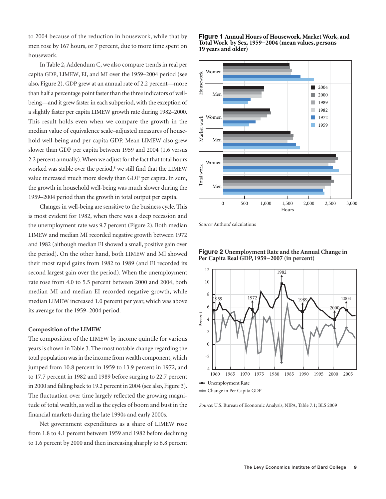to 2004 because of the reduction in housework, while that by men rose by 167 hours, or 7 percent, due to more time spent on housework.

In Table 2, Addendum C, we also compare trends in real per capita GDP, LIMEW, EI, and MI over the 1959–2004 period (see also, Figure 2). GDP grew at an annual rate of 2.2 percent—more than half a percentage point faster than the three indicators of wellbeing—and it grew faster in each subperiod, with the exception of a slightly faster per capita LIMEW growth rate during 1982–2000. This result holds even when we compare the growth in the median value of equivalence scale–adjusted measures of household well-being and per capita GDP. Mean LIMEW also grew slower than GDP per capita between 1959 and 2004 (1.6 versus 2.2 percent annually). When we adjust for the fact that total hours worked was stable over the period, $8$  we still find that the LIMEW value increased much more slowly than GDP per capita. In sum, the growth in household well-being was much slower during the 1959–2004 period than the growth in total output per capita.

Changes in well-being are sensitive to the business cycle. This is most evident for 1982, when there was a deep recession and the unemployment rate was 9.7 percent (Figure 2). Both median LIMEW and median MI recorded negative growth between 1972 and 1982 (although median EI showed a small, positive gain over the period). On the other hand, both LIMEW and MI showed their most rapid gains from 1982 to 1989 (and EI recorded its second largest gain over the period). When the unemployment rate rose from 4.0 to 5.5 percent between 2000 and 2004, both median MI and median EI recorded negative growth, while median LIMEW increased 1.0 percent per year, which was above its average for the 1959–2004 period.

## **Composition of the LIMEW**

The composition of the LIMEW by income quintile for various years is shown in Table 3. The most notable change regarding the total population was in the income from wealth component, which jumped from 10.8 percent in 1959 to 13.9 percent in 1972, and to 17.7 percent in 1982 and 1989 before surging to 22.7 percent in 2000 and falling back to 19.2 percent in 2004 (see also, Figure 3). The fluctuation over time largely reflected the growing magnitude of total wealth, as well as the cycles of boom and bust in the financial markets during the late 1990s and early 2000s.

Net government expenditures as a share of LIMEW rose from 1.8 to 4.1 percent between 1959 and 1982 before declining to 1.6 percent by 2000 and then increasing sharply to 6.8 percent





*Source:* Authors' calculations





*Source:* U.S. Bureau of Economic Analysis, NIPA, Table 7.1; BLS 2009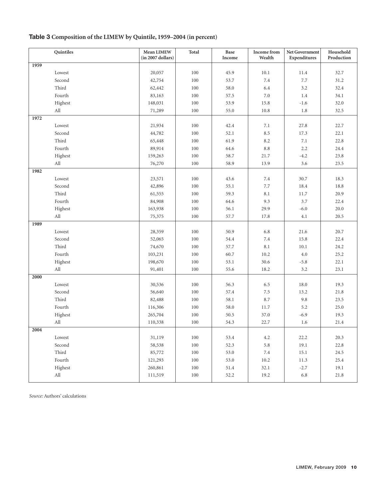## **Table 3 Composition of the LIMEW by Quintile, 1959–2004 (in percent)**

| Quintiles                   | Mean LIMEW<br>(in 2007 dollars) | Total   | Base<br>Income | Income from<br>Wealth | Net Government<br>Expenditures | Household<br>Production |
|-----------------------------|---------------------------------|---------|----------------|-----------------------|--------------------------------|-------------------------|
| 1959                        |                                 |         |                |                       |                                |                         |
| Lowest                      | 20,057                          | 100     | 45.9           | 10.1                  | 11.4                           | 32.7                    |
| Second                      | 42,754                          | 100     | 53.7           | $7.4\,$               | $7.7\,$                        | 31.2                    |
| Third                       | 62,442                          | 100     | 58.0           | 6.4                   | 3.2                            | 32.4                    |
| Fourth                      | 83,163                          | 100     | 57.5           | $7.0\,$               | 1.4                            | 34.1                    |
| Highest                     | 148,031                         | 100     | 53.9           | 15.8                  | $-1.6$                         | 32.0                    |
| $\mathop{\rm All}\nolimits$ | 71,289                          | 100     | 55.0           | 10.8                  | 1.8                            | 32.5                    |
| 1972                        |                                 |         |                |                       |                                |                         |
| Lowest                      | 21,934                          | 100     | 42.4           | 7.1                   | 27.8                           | 22.7                    |
| Second                      | 44,782                          | 100     | 52.1           | 8.5                   | 17.3                           | 22.1                    |
| Third                       | 65,448                          | 100     | 61.9           | $8.2\,$               | $7.1\,$                        | 22.8                    |
| Fourth                      | 89,914                          | 100     | 64.6           | $8.8\,$               | 2.2                            | 24.4                    |
| Highest                     | 159,263                         | 100     | 58.7           | 21.7                  | $-4.2$                         | 23.8                    |
| $\mbox{All}$                | 76,270                          | 100     | 58.9           | 13.9                  | 3.6                            | 23.5                    |
| 1982                        |                                 |         |                |                       |                                |                         |
| Lowest                      | 23,571                          | 100     | 43.6           | 7.4                   | 30.7                           | 18.3                    |
| Second                      | 42,896                          | 100     | 55.1           | $7.7\,$               | 18.4                           | 18.8                    |
| Third                       | 61,555                          | 100     | 59.3           | $8.1\,$               | 11.7                           | 20.9                    |
| Fourth                      | 84,908                          | 100     | 64.6           | 9.3                   | 3.7                            | 22.4                    |
| Highest                     | 163,938                         | 100     | 56.1           | 29.9                  | $-6.0$                         | $20.0\,$                |
| $\mathop{\rm All}\nolimits$ | 75,375                          | 100     | 57.7           | 17.8                  | 4.1                            | $20.5\,$                |
| 1989                        |                                 |         |                |                       |                                |                         |
| Lowest                      | 28,359                          | 100     | 50.9           | 6.8                   | 21.6                           | 20.7                    |
| Second                      | 52,065                          | 100     | 54.4           | $7.4\,$               | 15.8                           | 22.4                    |
| Third                       | 74,670                          | 100     | 57.7           | 8.1                   | 10.1                           | 24.2                    |
| Fourth                      | 103,231                         | 100     | 60.7           | 10.2                  | $4.0\,$                        | 25.2                    |
| Highest                     | 198,670                         | 100     | 53.1           | 30.6                  | $-5.8$                         | 22.1                    |
| $\mbox{All}$                | 91,401                          | 100     | 55.6           | 18.2                  | 3.2                            | 23.1                    |
| 2000                        |                                 |         |                |                       |                                |                         |
| Lowest                      | 30,536                          | 100     | 56.3           | 6.5                   | 18.0                           | 19.3                    |
| Second                      | 56,640                          | 100     | 57.4           | $7.5\,$               | 13.2                           | 21.8                    |
| Third                       | 82,488                          | 100     | 58.1           | 8.7                   | $9.8\,$                        | 23.5                    |
| Fourth                      | 116,306                         | 100     | 58.0           | 11.7                  | 5.2                            | 25.0                    |
| Highest                     | 265,704                         | 100     | 50.5           | 37.0                  | $-6.9$                         | 19.3                    |
| $\mbox{All}$                | 110,338                         | 100     | 54.3           | 22.7                  | 1.6                            | 21.4                    |
| $\boxed{2004}$              |                                 |         |                |                       |                                |                         |
| Lowest                      | 31,119                          | 100     | 53.4           | $4.2\,$               | 22.2                           | 20.3                    |
| Second                      | 58,538                          | 100     | 52.3           | $5.8\,$               | 19.1                           | 22.8                    |
| Third                       | 85,772                          | $100\,$ | 53.0           | $7.4\,$               | 15.1                           | 24.5                    |
| Fourth                      | 121,293                         | 100     | 53.0           | $10.2\,$              | 11.3                           | 25.4                    |
| Highest                     | 260,861                         | 100     | 51.4           | 32.1                  | $-2.7$                         | $19.1\,$                |
| All                         | 111,519                         | 100     | 52.2           | 19.2                  | 6.8                            | 21.8                    |

*Source:* Authors' calculations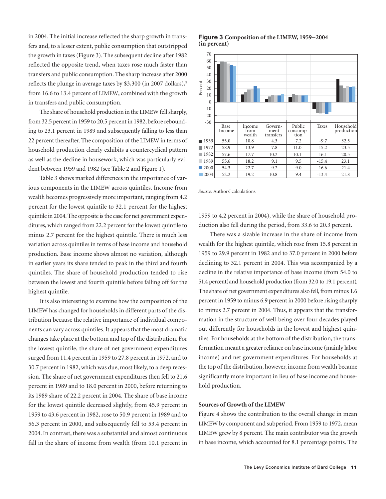in 2004. The initial increase reflected the sharp growth in transfers and, to a lesser extent, public consumption that outstripped the growth in taxes (Figure 3). The subsequent decline after 1982 reflected the opposite trend, when taxes rose much faster than transfers and public consumption. The sharp increase after 2000 reflects the plunge in average taxes by \$3,300 (in 2007 dollars),<sup>9</sup> from 16.6 to 13.4 percent of LIMEW, combined with the growth in transfers and public consumption.

The share of household production in the LIMEW fell sharply, from 32.5 percent in 1959 to 20.5 percent in 1982, before rebounding to 23.1 percent in 1989 and subsequently falling to less than 22 percent thereafter. The composition of the LIMEW in terms of household production clearly exhibits a countercyclical pattern as well as the decline in housework, which was particularly evident between 1959 and 1982 (see Table 2 and Figure 1).

Table 3 shows marked differences in the importance of various components in the LIMEW across quintiles. Income from wealth becomes progressively more important, ranging from 4.2 percent for the lowest quintile to 32.1 percent for the highest quintile in 2004. The opposite is the case for net government expenditures, which ranged from 22.2 percent for the lowest quintile to minus 2.7 percent for the highest quintile. There is much less variation across quintiles in terms of base income and household production. Base income shows almost no variation, although in earlier years its share tended to peak in the third and fourth quintiles. The share of household production tended to rise between the lowest and fourth quintile before falling off for the highest quintile.

It is also interesting to examine how the composition of the LIMEW has changed for households in different parts of the distribution because the relative importance of individual components can vary across quintiles. It appears that the most dramatic changes take place at the bottom and top of the distribution. For the lowest quintile, the share of net government expenditures surged from 11.4 percent in 1959 to 27.8 percent in 1972, and to 30.7 percent in 1982, which was due, most likely, to a deep recession. The share of net government expenditures then fell to 21.6 percent in 1989 and to 18.0 percent in 2000, before returning to its 1989 share of 22.2 percent in 2004. The share of base income for the lowest quintile decreased slightly, from 45.9 percent in 1959 to 43.6 percent in 1982, rose to 50.9 percent in 1989 and to 56.3 percent in 2000, and subsequently fell to 53.4 percent in 2004. In contrast, there was a substantial and almost continuous fall in the share of income from wealth (from 10.1 percent in

**Figure 3 Composition of the LIMEW, 1959−2004 (in percent)**



*Source:* Authors' calculations

1959 to 4.2 percent in 2004), while the share of household production also fell during the period, from 33.6 to 20.3 percent.

There was a sizable increase in the share of income from wealth for the highest quintile, which rose from 15.8 percent in 1959 to 29.9 percent in 1982 and to 37.0 percent in 2000 before declining to 32.1 percent in 2004. This was accompanied by a decline in the relative importance of base income (from 54.0 to 51.4 percent) and household production (from 32.0 to 19.1 percent). The share of net government expenditures also fell, from minus 1.6 percent in 1959 to minus 6.9 percent in 2000 before rising sharply to minus 2.7 percent in 2004. Thus, it appears that the transformation in the structure of well-being over four decades played out differently for households in the lowest and highest quintiles. For households at the bottom of the distribution, the transformation meant a greater reliance on base income (mainly labor income) and net government expenditures. For households at the top of the distribution, however, income from wealth became significantly more important in lieu of base income and household production.

#### **Sources of Growth of the LIMEW**

Figure 4 shows the contribution to the overall change in mean LIMEW by component and subperiod. From 1959 to 1972, mean LIMEW grew by 8 percent. The main contributor was the growth in base income, which accounted for 8.1 percentage points. The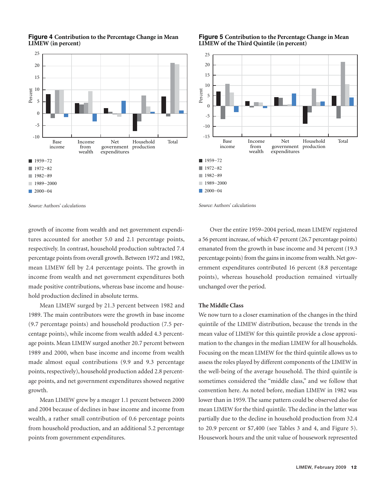

## **Figure 4 Contribution to the Percentage Change in Mean LIMEW (in percent)**

*Source:* Authors' calculations

growth of income from wealth and net government expenditures accounted for another 5.0 and 2.1 percentage points, respectively. In contrast, household production subtracted 7.4 percentage points from overall growth. Between 1972 and 1982, mean LIMEW fell by 2.4 percentage points. The growth in income from wealth and net government expenditures both made positive contributions, whereas base income and household production declined in absolute terms.

Mean LIMEW surged by 21.3 percent between 1982 and 1989. The main contributors were the growth in base income (9.7 percentage points) and household production (7.5 percentage points), while income from wealth added 4.3 percentage points. Mean LIMEW surged another 20.7 percent between 1989 and 2000, when base income and income from wealth made almost equal contributions (9.9 and 9.3 percentage points, respectively), household production added 2.8 percentage points, and net government expenditures showed negative growth.

Mean LIMEW grew by a meager 1.1 percent between 2000 and 2004 because of declines in base income and income from wealth, a rather small contribution of 0.6 percentage points from household production, and an additional 5.2 percentage points from government expenditures.

## **Figure 5 Contribution to the Percentage Change in Mean LIMEW of the Third Quintile (in percent)**



*Source:* Authors' calculations

Over the entire 1959–2004 period, mean LIMEW registered a 56 percent increase, of which 47 percent (26.7 percentage points) emanated from the growth in base income and 34 percent (19.3 percentage points) from the gains in income from wealth. Net government expenditures contributed 16 percent (8.8 percentage points), whereas household production remained virtually unchanged over the period.

## **The Middle Class**

We now turn to a closer examination of the changes in the third quintile of the LIMEW distribution, because the trends in the mean value of LIMEW for this quintile provide a close approximation to the changes in the median LIMEW for all households. Focusing on the mean LIMEW for the third quintile allows us to assess the roles played by different components of the LIMEW in the well-being of the average household. The third quintile is sometimes considered the "middle class," and we follow that convention here. As noted before, median LIMEW in 1982 was lower than in 1959. The same pattern could be observed also for mean LIMEW for the third quintile. The decline in the latter was partially due to the decline in household production from 32.4 to 20.9 percent or \$7,400 (see Tables 3 and 4, and Figure 5). Housework hours and the unit value of housework represented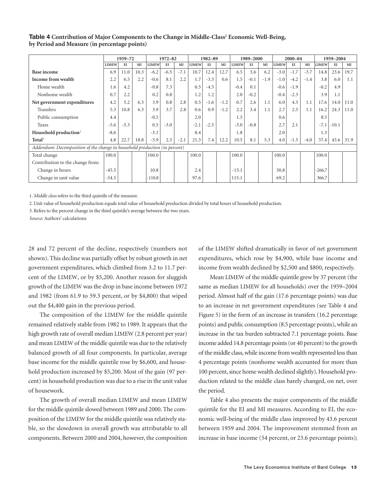## **Table 4** Contribution of Major Components to the Change in Middle-Class<sup>1</sup> Economic Well-Being, **by Period and Measure (in percentage points)**

|                                                                            | 1959-72      |        | $1972 - 82$ |              |        | 1982-89 |              |        | 1989-2000 |              |        | $2000 - 04$ |              |        | 1959-2004 |              |         |      |
|----------------------------------------------------------------------------|--------------|--------|-------------|--------------|--------|---------|--------------|--------|-----------|--------------|--------|-------------|--------------|--------|-----------|--------------|---------|------|
|                                                                            | <b>LIMEW</b> | $E$ I  | MI          | <b>LIMEW</b> | EI     | MI      | <b>LIMEW</b> | E      | MI        | <b>LIMEW</b> | EI     | MI          | <b>LIMEW</b> | EI     | MI        | <b>LIMEW</b> | EI      | MI   |
| <b>Base income</b>                                                         | 6.9          | 11.0   | 10.3        | $-6.2$       | $-6.5$ | $-7.1$  | 10.7         | 12.4   | 12.7      | 6.5          | 5.6    | 6.2         | $-3.0$       | $-1.7$ | $-3.7$    | 14.8         | 23.6    | 19.7 |
| Income from wealth                                                         | 2.2          | 6.5    | 2.2         | $-0.6$       | 8.1    | 2.2     | 1.7          | $-3.3$ | 0.6       | 1.5          | $-0.1$ | $-1.9$      | $-1.0$       | $-4.2$ | $-1.4$    | 3.8          | 6.0     | 1.1  |
| Home wealth                                                                | 1.6          | 4.2    |             | $-0.8$       | 7.3    |         | 0.5          | $-4.5$ |           | $-0.4$       | 0.1    |             | $-0.6$       | $-1.9$ |           | $-0.2$       | 4.9     |      |
| Nonhome wealth                                                             | 0.7          | 2.2    |             | 0.2          | 0.8    |         | 1.2          | 1.2    |           | 2.0          | $-0.2$ |             | $-0.4$       | $-2.3$ |           | 3.9          | 1.1     |      |
| Net government expenditures                                                | 4.2          | 5.2    | 6.3         | 3.9          | 0.8    | 2.8     | 0.5          | $-1.6$ | $-1.2$    | 0.7          | 2.6    | 1.1         | 6.0          | 4.3    | 1.1       | 17.6         | 14.0    | 11.0 |
| <b>Transfers</b>                                                           | 5.3          | 10.8   | 6.3         | 3.9          | 3.7    | 2.8     | 0.6          | 0.9    | $-1.2$    | 2.2          | 3.4    | 1.1         | 2.7          | 2.3    | 1.1       | 16.2         | 24.3    | 11.0 |
| Public consumption                                                         | 4.4          |        |             | $-0.5$       |        |         | 2.0          |        |           | 1.5          |        |             | 0.6          |        |           | 8.5          |         |      |
| <b>Taxes</b>                                                               | $-5.6$       | $-5.3$ |             | 0.5          | $-3.0$ |         | $-2.1$       | $-2.5$ |           | $-3.0$       | $-0.8$ |             | 2.7          | 2.1    |           | $-7.1$       | $-10.1$ |      |
| Household production <sup>2</sup>                                          | $-8.6$       |        |             | $-3.1$       |        |         | 8.4          |        |           | 1.8          |        |             | 2.0          |        |           | 1.3          |         |      |
| Total <sup>3</sup>                                                         | 4.8          | 22.7   | 18.8        | $-5.9$       | 2.3    | $-2.1$  | 21.3         | 7.4    | 12.2      | 10.5         | 8.1    | 5.3         | 4.0          | $-1.5$ | $-4.0$    | 37.4         | 43.6    | 31.9 |
| Addendum: Decomposition of the change in household production (in percent) |              |        |             |              |        |         |              |        |           |              |        |             |              |        |           |              |         |      |
| Total change                                                               | 100.0        |        |             | 100.0        |        |         | 100.0        |        |           | 100.0        |        |             | 100.0        |        |           | 100.0        |         |      |
| Contribution to the change from:                                           |              |        |             |              |        |         |              |        |           |              |        |             |              |        |           |              |         |      |
| Change in hours                                                            | $-45.5$      |        |             | 10.8         |        |         | 2.4          |        |           | $-15.1$      |        |             | 30.8         |        |           | $-266.7$     |         |      |
| Change in unit value                                                       | $-54.5$      |        |             | $-110.8$     |        |         | 97.6         |        |           | 115.1        |        |             | 69.2         |        |           | 366.7        |         |      |

1. *Middle class* refers to the third quintile of the measure.

2. Unit value of household production equals total value of household production divided by total hours of household production.

3. Refers to the percent change in the third quintile's average between the two years.

*Source:* Authors' calculations

28 and 72 percent of the decline, respectively (numbers not shown). This decline was partially offset by robust growth in net government expenditures, which climbed from 3.2 to 11.7 percent of the LIMEW, or by \$5,200. Another reason for sluggish growth of the LIMEW was the drop in base income between 1972 and 1982 (from 61.9 to 59.3 percent, or by \$4,800) that wiped out the \$4,400 gain in the previous period.

The composition of the LIMEW for the middle quintile remained relatively stable from 1982 to 1989. It appears that the high growth rate of overall median LIMEW (2.8 percent per year) and mean LIMEW of the middle quintile was due to the relatively balanced growth of all four components. In particular, average base income for the middle quintile rose by \$6,600, and household production increased by \$5,200. Most of the gain (97 percent) in household production was due to a rise in the unit value of housework.

The growth of overall median LIMEW and mean LIMEW for the middle quintile slowed between 1989 and 2000. The composition of the LIMEW for the middle quintile was relatively stable, so the slowdown in overall growth was attributable to all components. Between 2000 and 2004, however, the composition of the LIMEW shifted dramatically in favor of net government expenditures, which rose by \$4,900, while base income and income from wealth declined by \$2,500 and \$800, respectively.

Mean LIMEW of the middle quintile grew by 37 percent (the same as median LIMEW for all households) over the 1959–2004 period. Almost half of the gain (17.6 percentage points) was due to an increase in net government expenditures (see Table 4 and Figure 5) in the form of an increase in transfers (16.2 percentage points) and public consumption (8.5 percentage points), while an increase in the tax burden subtracted 7.1 percentage points. Base income added 14.8 percentage points (or 40 percent) to the growth of the middle class, while income from wealth represented less than 4 percentage points (nonhome wealth accounted for more than 100 percent, since home wealth declined slightly). Household production related to the middle class barely changed, on net, over the period.

Table 4 also presents the major components of the middle quintile for the EI and MI measures. According to EI, the economic well-being of the middle class improved by 43.6 percent between 1959 and 2004. The improvement stemmed from an increase in base income (54 percent, or 23.6 percentage points);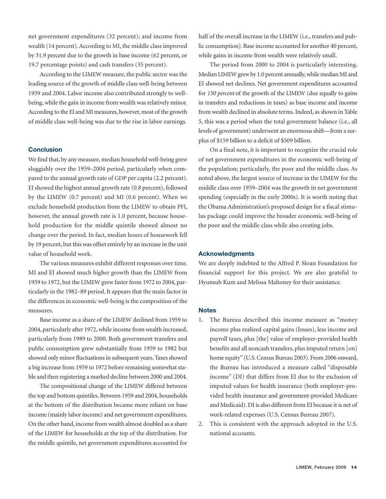net government expenditures (32 percent); and income from wealth (14 percent). According to MI, the middle class improved by 31.9 percent due to the growth in base income (62 percent, or 19.7 percentage points) and cash transfers (35 percent).

According to the LIMEW measure, the public sector was the leading source of the growth of middle class well-being between 1959 and 2004. Labor income also contributed strongly to wellbeing, while the gain in income from wealth was relatively minor. According to the EI and MI measures, however, most of the growth of middle class well-being was due to the rise in labor earnings.

## **Conclusion**

We find that, by any measure, median household well-being grew sluggishly over the 1959–2004 period, particularly when compared to the annual growth rate of GDP per capita (2.2 percent). EI showed the highest annual growth rate (0.8 percent), followed by the LIMEW (0.7 percent) and MI (0.6 percent). When we exclude household production from the LIMEW to obtain PFI, however, the annual growth rate is 1.0 percent, because household production for the middle quintile showed almost no change over the period. In fact, median hours of housework fell by 19 percent, but this was offset entirely by an increase in the unit value of household work.

The various measures exhibit different responses over time. MI and EI showed much higher growth than the LIMEW from 1959 to 1972, but the LIMEW grew faster from 1972 to 2004, particularly in the 1982–89 period. It appears that the main factor in the differences in economic well-being is the composition of the measures.

Base income as a share of the LIMEW declined from 1959 to 2004, particularly after 1972, while income from wealth increased, particularly from 1989 to 2000. Both government transfers and public consumption grew substantially from 1959 to 1982 but showed only minor fluctuations in subsequent years. Taxes showed a big increase from 1959 to 1972 before remaining somewhat stable and then registering a marked decline between 2000 and 2004.

The compositional change of the LIMEW differed between the top and bottom quintiles. Between 1959 and 2004, households at the bottom of the distribution became more reliant on base income (mainly labor income) and net government expenditures. On the other hand, income from wealth almost doubled as a share of the LIMEW for households at the top of the distribution. For the middle quintile, net government expenditures accounted for

half of the overall increase in the LIMEW (i.e., transfers and public consumption). Base income accounted for another 40 percent, while gains in income from wealth were relatively small.

The period from 2000 to 2004 is particularly interesting. Median LIMEW grew by 1.0 percent annually, while median MI and EI showed net declines. Net government expenditures accounted for *150 percent* of the growth of the LIMEW (due equally to gains in transfers and reductions in taxes) as base income and income from wealth declined in absolute terms. Indeed, as shown in Table 5, this was a period when the total government balance (i.e., all levels of government) underwent an enormous shift—from a surplus of \$159 billion to a deficit of \$509 billion.

On a final note, it is important to recognize the crucial role of net government expenditures in the economic well-being of the population; particularly, the poor and the middle class. As noted above, the largest source of increase in the LIMEW for the middle class over 1959–2004 was the growth in net government spending (especially in the early 2000s). It is worth noting that the Obama Administration's proposed design for a fiscal stimulus package could improve the broader economic well-being of the poor and the middle class while also creating jobs.

## **Acknowledgments**

We are deeply indebted to the Alfred P. Sloan Foundation for financial support for this project. We are also grateful to Hyunsub Kum and Melissa Mahoney for their assistance.

## **Notes**

- 1. The Bureau described this income measure as "money income plus realized capital gains (losses), less income and payroll taxes, plus [the] value of employer-provided health benefits and all noncash transfers, plus imputed return [on] home equity" (U.S. Census Bureau 2003). From 2006 onward, the Bureau has introduced a measure called "disposable income" (DI) that differs from EI due to the exclusion of imputed values for health insurance (both employer-provided health insurance and government-provided Medicare and Medicaid). DI is also different from EI because it is net of work-related expenses (U.S. Census Bureau 2007).
- 2. This is consistent with the approach adopted in the U.S. national accounts.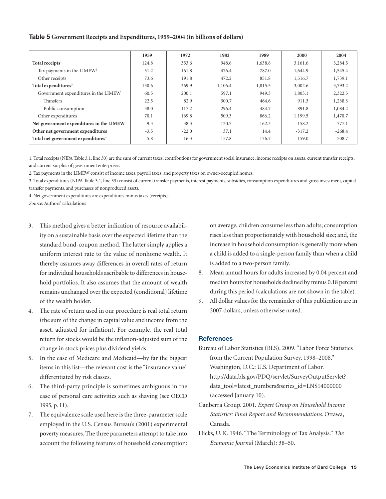## **Table 5 Government Receipts and Expenditures, 1959–2004 (in billions of dollars)**

|                                                | 1959   | 1972    | 1982    | 1989    | 2000     | 2004     |
|------------------------------------------------|--------|---------|---------|---------|----------|----------|
| Total receipts <sup>1</sup>                    | 124.8  | 353.6   | 948.6   | 1,638.8 | 3,161.6  | 3,284.5  |
| Tax payments in the LIMEW <sup>2</sup>         | 51.2   | 161.8   | 476.4   | 787.0   | 1,644.9  | 1,545.4  |
| Other receipts                                 | 73.6   | 191.8   | 472.2   | 851.8   | 1,516.7  | 1,739.1  |
| Total expenditures <sup>3</sup>                | 130.6  | 369.9   | 1,106.4 | 1,815.5 | 3,002.6  | 3,793.2  |
| Government expenditures in the LIMEW           | 60.5   | 200.1   | 597.1   | 949.3   | 1,803.1  | 2,322.5  |
| <b>Transfers</b>                               | 22.5   | 82.9    | 300.7   | 464.6   | 911.3    | 1,238.3  |
| Public consumption                             | 38.0   | 117.2   | 296.4   | 484.7   | 891.8    | 1,084.2  |
| Other expenditures                             | 70.1   | 169.8   | 509.3   | 866.2   | 1,199.5  | 1,470.7  |
| Net government expenditures in the LIMEW       | 9.3    | 38.3    | 120.7   | 162.3   | 158.2    | 777.1    |
| Other net government expenditures              | $-3.5$ | $-22.0$ | 37.1    | 14.4    | $-317.2$ | $-268.4$ |
| Total net government expenditures <sup>4</sup> | 5.8    | 16.3    | 157.8   | 176.7   | $-159.0$ | 508.7    |

1. Total receipts (NIPA Table 3.1, line 30) are the sum of current taxes, contributions for government social insurance, income receipts on assets, current transfer receipts, and current surplus of government enterprises.

2. Tax payments in the LIMEW consist of income taxes, payroll taxes, and property taxes on owner-occupied homes.

3. Total expenditures (NIPA Table 3.1, line 33) consist of current transfer payments, interest payments, subsidies, consumption expenditures and gross investment, capital transfer payments, and purchases of nonproduced assets.

4. Net government expenditures are expenditures minus taxes (receipts).

*Source:* Authors' calculations

- 3. This method gives a better indication of resource availability on a sustainable basis over the expected lifetime than the standard bond-coupon method. The latter simply applies a uniform interest rate to the value of nonhome wealth. It thereby assumes away differences in overall rates of return for individual households ascribable to differences in household portfolios. It also assumes that the amount of wealth remains unchanged over the expected (conditional) lifetime of the wealth holder.
- 4. The rate of return used in our procedure is real total return (the sum of the change in capital value and income from the asset, adjusted for inflation). For example, the real total return for stocks would be the inflation-adjusted sum of the change in stock prices plus dividend yields.
- 5. In the case of Medicare and Medicaid—by far the biggest items in this list—the relevant cost is the "insurance value" differentiated by risk classes.
- 6. The third-party principle is sometimes ambiguous in the case of personal care activities such as shaving (see OECD 1995, p. 11).
- 7. The equivalence scale used here is the three-parameter scale employed in the U.S. Census Bureau's (2001) experimental poverty measures. The three parameters attempt to take into account the following features of household consumption:

on average, children consume less than adults; consumption rises less than proportionately with household size; and, the increase in household consumption is generally more when a child is added to a single-person family than when a child is added to a two-person family.

- 8. Mean annual hours for adults increased by 0.04 percent and median hours for households declined by minus 0.18 percent during this period (calculations are not shown in the table).
- 9. All dollar values for the remainder of this publication are in 2007 dollars, unless otherwise noted.

## **References**

- Bureau of Labor Statistics (BLS). 2009. "Labor Force Statistics from the Current Population Survey, 1998–2008." Washington, D.C.: U.S. Department of Labor. http://data.bls.gov/PDQ/servlet/SurveyOutputServlet? data\_tool=latest\_numbers&series\_id=LNS14000000 (accessed January 10).
- Canberra Group. 2001. *Expert Group on Household Income Statistics: Final Report and Recommendations*. Ottawa, Canada.
- Hicks, U. K. 1946. "The Terminology of Tax Analysis." *The Economic Journal* (March): 38–50.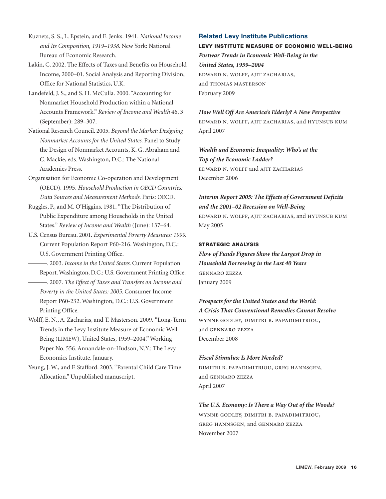Kuznets, S. S., L. Epstein, and E. Jenks. 1941. *National Income and Its Composition, 1919–1938.* New York: National Bureau of Economic Research.

Lakin, C. 2002. The Effects of Taxes and Benefits on Household Income, 2000–01. Social Analysis and Reporting Division, Office for National Statistics, U.K.

- Landefeld, J. S., and S. H. McCulla. 2000. "Accounting for Nonmarket Household Production within a National Accounts Framework." *Review of Income and Wealth* 46, 3 (September): 289–307.
- National Research Council. 2005. *Beyond the Market: Designing Nonmarket Accounts for the United States*. Panel to Study the Design of Nonmarket Accounts, K. G. Abraham and C. Mackie, eds. Washington, D.C.: The National Academies Press.
- Organisation for Economic Co-operation and Development (OECD). 1995. *Household Production in OECD Countries: Data Sources and Measurement Methods*. Paris: OECD.
- Ruggles, P., and M. O'Higgins. 1981. "The Distribution of Public Expenditure among Households in the United States." *Review of Income and Wealth* (June): 137–64.
- U.S. Census Bureau. 2001. *Experimental Poverty Measures: 1999*. Current Population Report P60-216. Washington, D.C.: U.S. Government Printing Office.
- ———. 2003. *Income in the United States*. Current Population Report. Washington, D.C.: U.S. Government Printing Office.
- ———. 2007. *The Effect of Taxes and Transfers on Income and Poverty in the United States: 2005*. Consumer Income Report P60-232. Washington, D.C.: U.S. Government Printing Office.
- Wolff, E. N., A. Zacharias, and T. Masterson. 2009. "Long-Term Trends in the Levy Institute Measure of Economic Well-Being (LIMEW), United States, 1959–2004." Working Paper No. 556. Annandale-on-Hudson, N.Y.: The Levy Economics Institute. January.
- Yeung, J. W., and F. Stafford. 2003. "Parental Child Care Time Allocation." Unpublished manuscript.

## **Related Levy Institute Publications**

# **LEVY INSTITUTE MEASURE OF ECONOMIC WELL-BEING** *Postwar Trends in Economic Well-Being in the United States, 1959–2004* edward n. wolff, ajit zacharias, and thomas masterson February 2009

*How Well Off Are America's Elderly? A New Perspective* edward n. wolff, ajit zacharias, and hyunsub kum April 2007

*Wealth and Economic Inequality: Who's at the Top of the Economic Ladder?* edward n. wolff and ajit zacharias December 2006

*Interim Report 2005: The Effects of Government Deficits and the 2001–02 Recession on Well-Being* edward n. wolff, ajit zacharias, and hyunsub kum May 2005

## **STRATEGIC ANALYSIS**

*Flow of Funds Figures Show the Largest Drop in Household Borrowing in the Last 40 Years*  gennaro zezza January 2009

*Prospects for the United States and the World: A Crisis That Conventional Remedies Cannot Resolve*  wynne godley, dimitri b. papadimitriou, and gennaro zezza December 2008

## *Fiscal Stimulus: Is More Needed?*

dimitri b. papadimitriou, greg hannsgen, and gennaro zezza April 2007

*The U.S. Economy: Is There a Way Out of the Woods?*  wynne godley, dimitri b. papadimitriou, greg hannsgen, and gennaro zezza November 2007